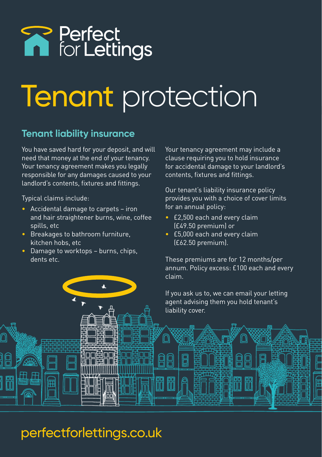# **R** Perfect<br> **R** for Lettings

## Tenant protection

闫

#### **Tenant liability insurance**

You have saved hard for your deposit, and will need that money at the end of your tenancy. Your tenancy agreement makes you legally responsible for any damages caused to your landlord's contents, fixtures and fittings.

Typical claims include:

- Accidental damage to carpets iron and hair straightener burns, wine, coffee spills, etc
- Breakages to bathroom furniture, kitchen hobs, etc
- Damage to worktops burns, chips, dents etc.

Your tenancy agreement may include a clause requiring you to hold insurance for accidental damage to your landlord's contents, fixtures and fittings.

Our tenant's liability insurance policy provides you with a choice of cover limits for an annual policy:

- £2,500 each and every claim (£49.50 premium) or
- £5,000 each and every claim (£62.50 premium).

These premiums are for 12 months/per annum. Policy excess: £100 each and every claim.

If you ask us to, we can email your letting agent advising them you hold tenant's liability cover.

### perfectforlettings.co.uk